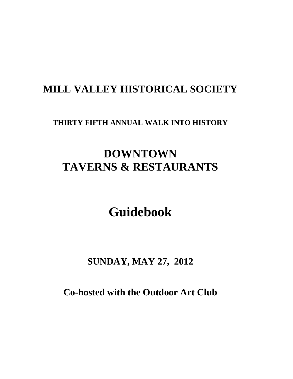# **MILL VALLEY HISTORICAL SOCIETY**

### **THIRTY FIFTH ANNUAL WALK INTO HISTORY**

# **DOWNTOWN TAVERNS & RESTAURANTS**

# **Guidebook**

# **SUNDAY, MAY 27, 2012**

**Co-hosted with the Outdoor Art Club**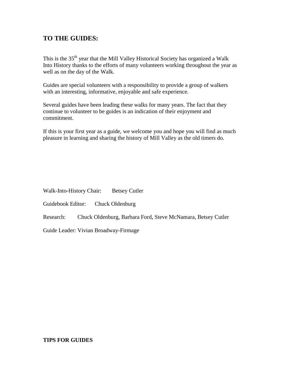### **TO THE GUIDES:**

This is the 35<sup>th</sup> year that the Mill Valley Historical Society has organized a Walk Into History thanks to the efforts of many volunteers working throughout the year as well as on the day of the Walk.

Guides are special volunteers with a responsibility to provide a group of walkers with an interesting, informative, enjoyable and safe experience.

Several guides have been leading these walks for many years. The fact that they continue to volunteer to be guides is an indication of their enjoyment and commitment.

If this is your first year as a guide, we welcome you and hope you will find as much pleasure in learning and sharing the history of Mill Valley as the old timers do.

Walk-Into-History Chair: Betsey Cutler

Guidebook Editor: Chuck Oldenburg

Research: Chuck Oldenburg, Barbara Ford, Steve McNamara, Betsey Cutler

Guide Leader: Vivian Broadway-Firmage

#### **TIPS FOR GUIDES**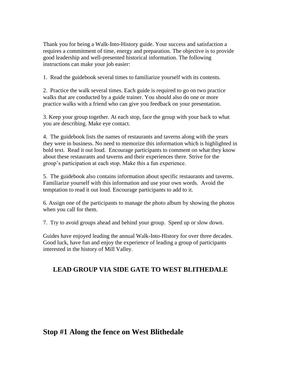Thank you for being a Walk-Into-History guide. Your success and satisfaction a requires a commitment of time, energy and preparation. The objective is to provide good leadership and well-presented historical information. The following instructions can make your job easier:

1. Read the guidebook several times to familiarize yourself with its contents.

2. Practice the walk several times. Each guide is required to go on two practice walks that are conducted by a guide trainer. You should also do one or more practice walks with a friend who can give you feedback on your presentation.

3. Keep your group together. At each stop, face the group with your back to what you are describing. Make eye contact.

4. The guidebook lists the names of restaurants and taverns along with the years they were in business. No need to memorize this information which is highlighted in bold text. Read it out loud. Encourage participants to comment on what they know about these restaurants and taverns and their experiences there. Strive for the group's participation at each stop. Make this a fun experience.

5. The guidebook also contains information about specific restaurants and taverns. Familiarize yourself with this information and use your own words. Avoid the temptation to read it out loud. Encourage participants to add to it.

6. Assign one of the participants to manage the photo album by showing the photos when you call for them.

7. Try to avoid groups ahead and behind your group. Speed up or slow down.

Guides have enjoyed leading the annual Walk-Into-History for over three decades. Good luck, have fun and enjoy the experience of leading a group of participants interested in the history of Mill Valley.

### **LEAD GROUP VIA SIDE GATE TO WEST BLITHEDALE**

### **Stop #1 Along the fence on West Blithedale**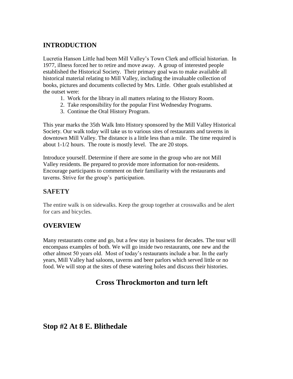### **INTRODUCTION**

Lucretia Hanson Little had been Mill Valley's Town Clerk and official historian. In 1977, illness forced her to retire and move away. A group of interested people established the Historical Society. Their primary goal was to make available all historical material relating to Mill Valley, including the invaluable collection of books, pictures and documents collected by Mrs. Little. Other goals established at the outset were:

- 1. Work for the library in all matters relating to the History Room.
- 2. Take responsibility for the popular First Wednesday Programs.
- 3. Continue the Oral History Program.

This year marks the 35th Walk Into History sponsored by the Mill Valley Historical Society. Our walk today will take us to various sites of restaurants and taverns in downtown Mill Valley. The distance is a little less than a mile. The time required is about 1-1/2 hours. The route is mostly level. The are 20 stops.

Introduce yourself. Determine if there are some in the group who are not Mill Valley residents. Be prepared to provide more information for non-residents. Encourage participants to comment on their familiarity with the restaurants and taverns. Strive for the group's participation.

### **SAFETY**

The entire walk is on sidewalks. Keep the group together at crosswalks and be alert for cars and bicycles.

### **OVERVIEW**

Many restaurants come and go, but a few stay in business for decades. The tour will encompass examples of both. We will go inside two restaurants, one new and the other almost 50 years old. Most of today's restaurants include a bar. In the early years, Mill Valley had saloons, taverns and beer parlors which served little or no food. We will stop at the sites of these watering holes and discuss their histories.

## **Cross Throckmorton and turn left**

### **Stop #2 At 8 E. Blithedale**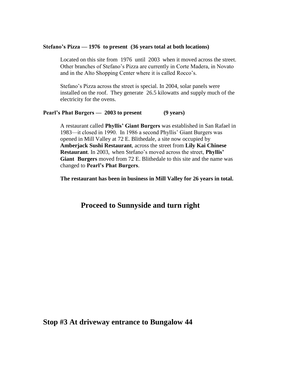#### **Stefano's Pizza — 1976 to present (36 years total at both locations)**

Located on this site from 1976 until 2003 when it moved across the street. Other branches of Stefano's Pizza are currently in Corte Madera, in Novato and in the Alto Shopping Center where it is called Rocco's.

Stefano's Pizza across the street is special. In 2004, solar panels were installed on the roof. They generate 26.5 kilowatts and supply much of the electricity for the ovens.

#### **Pearl's Phat Burgers — 2003 to present (9 years)**

A restaurant called **Phyllis' Giant Burgers** was established in San Rafael in 1983—it closed in 1990. In 1986 a second Phyllis' Giant Burgers was opened in Mill Valley at 72 E. Blithedale, a site now occupied by **Amberjack Sushi Restaurant**, across the street from **Lily Kai Chinese Restaurant**. In 2003, when Stefano's moved across the street, **Phyllis' Giant Burgers** moved from 72 E. Blithedale to this site and the name was changed to **Pearl's Phat Burgers**.

**The restaurant has been in business in Mill Valley for 26 years in total.**

### **Proceed to Sunnyside and turn right**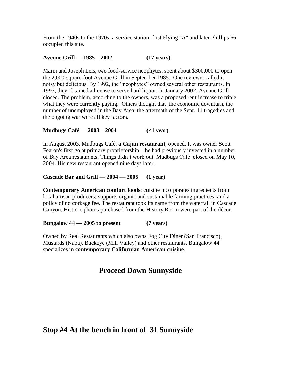From the 1940s to the 1970s, a service station, first Flying "A" and later Phillips 66, occupied this site.

#### **Avenue Grill — 1985 – 2002 (17 years)**

Marni and Joseph Leis, two food-service neophytes, spent about \$300,000 to open the 2,000-square-foot Avenue Grill in September 1985. One reviewer called it noisy but delicious. By 1992, the "neophytes" owned several other restaurants. In 1993, they obtained a license to serve hard liquor. In January 2002, Avenue Grill closed. The problem, according to the owners, was a proposed rent increase to triple what they were currently paying. Others thought that the economic downturn, the number of unemployed in the Bay Area, the aftermath of the Sept. 11 tragedies and the ongoing war were all key factors.

**Mudbugs Café — 2003 – 2004 (<1 year)**

In August 2003, Mudbugs Café, **a Cajun restaurant**, opened. It was owner Scott Fearon's first go at primary proprietorship—he had previously invested in a number of Bay Area restaurants. Things didn't work out. Mudbugs Café closed on May 10, 2004. His new restaurant opened nine days later.

#### **Cascade Bar and Grill — 2004 — 2005 (1 year)**

**Contemporary American comfort foods**; cuisine incorporates ingredients from local artisan producers; supports organic and sustainable farming practices; and a policy of no corkage fee. The restaurant took its name from the waterfall in Cascade Canyon. Historic photos purchased from the History Room were part of the décor.

**Bungalow 44 — 2005 to present (7 years)**

Owned by Real Restaurants which also owns Fog City Diner (San Francisco), Mustards (Napa), Buckeye (Mill Valley) and other restaurants. Bungalow 44 specializes in **contemporary Californian American cuisine**.

### **Proceed Down Sunnyside**

### **Stop #4 At the bench in front of 31 Sunnyside**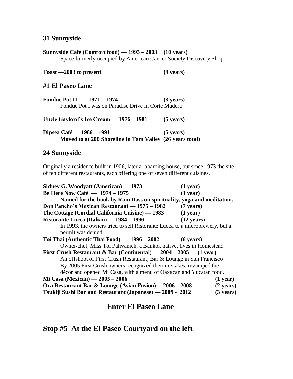#### **31 Sunnyside**

**Sunnyside Café (Comfort food) — 1993 – 2003 (10 years)** Space formerly occupied by American Cancer Society Discovery Shop

**Toast —2003 to present (9 years)**

**#1 El Paseo Lane**

| Fondue Pot II - 1971 - 1974                              | $(3 \text{ years})$ |
|----------------------------------------------------------|---------------------|
| Fondue Pot I was on Paradise Drive in Corte Madera       |                     |
| Uncle Gaylord's Ice Cream $-1976 - 1981$                 | $(5 \text{ years})$ |
| Dipsea Café — 1986 – 1991                                | $(5 \text{ years})$ |
| Moved to at 200 Shoreline in Tam Valley (26 years total) |                     |

#### **24 Sunnyside**

Originally a residence built in 1906, later a boarding house, but since 1973 the site of ten different restaurants, each offering one of seven different cuisines.

| Sidney G. Woodyatt (American) — 1973                                                              | $(1$ year)           |
|---------------------------------------------------------------------------------------------------|----------------------|
| <b>Be Here Now Café - 1974 - 1975</b>                                                             | $(1$ year)           |
| Named for the book by Ram Dass on spirituality, yoga and meditation.                              |                      |
| Don Pancho's Mexican Restaurant — 1975 – 1982                                                     | $(7 \text{ years})$  |
| The Cottage (Cordial California Cuisine) — 1983                                                   | (1 year)             |
| Ristorante Lucca (Italian) — 1984 - 1996                                                          | $(12 \text{ years})$ |
| In 1993, the owners tried to sell Ristorante Lucca to a microbrewery, but a<br>permit was denied. |                      |
| Toi Thai (Authentic Thai Food) — 1996 – 2002                                                      | $(6 \text{ years})$  |
| Owner/chef, Miss Toi Palivanich, a Bankok native, lives in Homestead                              |                      |
| First Crush Restaurant & Bar (Continental) — $2004 - 2005$ (1 year)                               |                      |
| An offshoot of First Crush Restaurant, Bar & Lounge in San Francisco                              |                      |
| By 2005 First Crush owners recognized their mistakes, revamped the                                |                      |
| décor and opened Mi Casa, with a menu of Oaxacan and Yucatan food.                                |                      |
| Mi Casa (Mexican) — 2005 – 2006                                                                   | $(1$ year)           |
| Ora Restaurant Bar & Lounge (Asian Fusion) - 2006 - 2008                                          | $(2 \text{ years})$  |
| Tsukiji Sushi Bar and Restaurant (Japanese) — 2009 - 2012                                         | $(3 \text{ years})$  |

**Enter El Paseo Lane**

**Stop #5 At the El Paseo Courtyard on the left**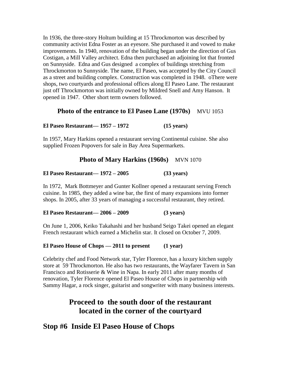In 1936, the three-story Holtum building at 15 Throckmorton was described by community activist Edna Foster as an eyesore. She purchased it and vowed to make improvements. In 1940, renovation of the building began under the direction of Gus Costigan, a Mill Valley architect. Edna then purchased an adjoining lot that fronted on Sunnyside. Edna and Gus designed a complex of buildings stretching from Throckmorton to Sunnyside. The name, El Paseo, was accepted by the City Council as a street and building complex. Construction was completed in 1948. oThere were shops, two courtyards and professional offices along El Paseo Lane. The restaurant just off Throckmorton was initially owned by Mildred Snell and Amy Hanson. It opened in 1947. Other short term owners followed.

### **Photo of the entrance to El Paseo Lane (1970s)** MVU 1053

**El Paseo Restaurant— 1957 – 1972 (15 years)**

In 1957, Mary Harkins opened a restaurant serving Continental cuisine. She also supplied Frozen Popovers for sale in Bay Area Supermarkets.

#### **Photo of Mary Harkins (1960s)** MVN 1070

**El Paseo Restaurant— 1972 – 2005 (33 years)**

In 1972, Mark Bottmeyer and Gunter Kollner opened a restaurant serving French cuisine. In 1985, they added a wine bar, the first of many expansions into former shops. In 2005, after 33 years of managing a successful restaurant, they retired.

**El Paseo Restaurant— 2006 – 2009 (3 years)**

On June 1, 2006, Keiko Takahashi and her husband Seigo Takei opened an elegant French restaurant which earned a Michelin star. It closed on October 7, 2009.

#### **El Paseo House of Chops — 2011 to present (1 year)**

Celebrity chef and Food Network star, Tyler Florence, has a luxury kitchen supply store at 59 Throckmorton. He also has two restaurants, the Wayfarer Tavern in San Francisco and Rotisserie & Wine in Napa. In early 2011 after many months of renovation, Tyler Florence opened El Paseo House of Chops in partnership with Sammy Hagar, a rock singer, guitarist and songwriter with many business interests.

### **Proceed to the south door of the restaurant located in the corner of the courtyard**

### **Stop #6 Inside El Paseo House of Chops**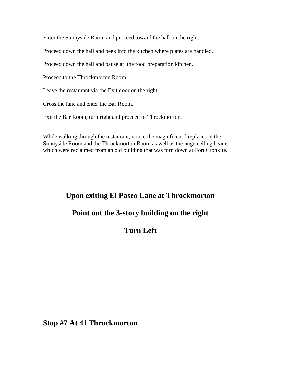Enter the Sunnyside Room and proceed toward the hall on the right.

Proceed down the hall and peek into the kitchen where plates are handled.

Proceed down the hall and pause at the food preparation kitchen.

Proceed to the Throckmorton Room.

Leave the restaurant via the Exit door on the right.

Cross the lane and enter the Bar Room.

Exit the Bar Room, turn right and proceed to Throckmorton.

While walking through the restaurant, notice the magnificent fireplaces in the Sunnyside Room and the Throckmorton Room as well as the huge ceiling beams which were reclaimed from an old building that was torn down at Fort Cronkite.

### **Upon exiting El Paseo Lane at Throckmorton**

### **Point out the 3-story building on the right**

## **Turn Left**

**Stop #7 At 41 Throckmorton**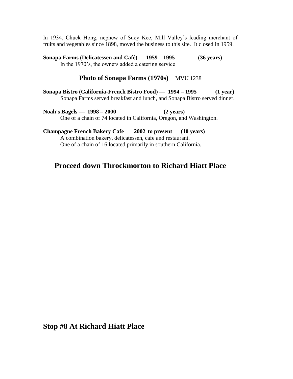In 1934, Chuck Hong, nephew of Suey Kee, Mill Valley's leading merchant of fruits and vegetables since 1898, moved the business to this site. It closed in 1959.

**Sonapa Farms (Delicatessen and Café) — 1959 – 1995 (36 years)** In the 1970's, the owners added a catering service

#### **Photo of Sonapa Farms (1970s)** MVU 1238

**Sonapa Bistro (California-French Bistro Food) — 1994 – 1995 (1 year)** Sonapa Farms served breakfast and lunch, and Sonapa Bistro served dinner.

**Noah's Bagels — 1998 – 2000 (2 years)** One of a chain of 74 located in California, Oregon, and Washington.

**Champagne French Bakery Cafe — 2002 to present (10 years)** A combination bakery, delicatessen, cafe and restaurant. One of a chain of 16 located primarily in southern California.

### **Proceed down Throckmorton to Richard Hiatt Place**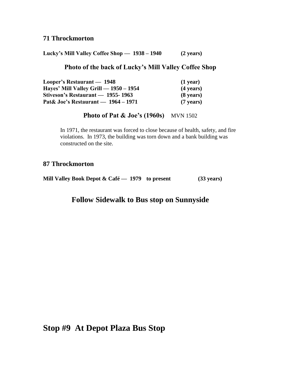### **71 Throckmorton**

**Lucky's Mill Valley Coffee Shop — 1938 – 1940 (2 years)**

### **Photo of the back of Lucky's Mill Valley Coffee Shop**

| Looper's Restaurant — 1948             | $(1$ year)          |
|----------------------------------------|---------------------|
| Hayes' Mill Valley Grill — 1950 – 1954 | $(4 \text{ years})$ |
| Stiveson's Restaurant — 1955-1963      | $(8 \text{ years})$ |
| Pat& Joe's Restaurant — 1964 – 1971    | $(7 \text{ years})$ |

**Photo of Pat & Joe's (1960s)** MVN 1502

In 1971, the restaurant was forced to close because of health, safety, and fire violations. In 1973, the building was torn down and a bank building was constructed on the site.

### **87 Throckmorton**

**Mill Valley Book Depot & Café — 1979 to present (33 years)**

### **Follow Sidewalk to Bus stop on Sunnyside**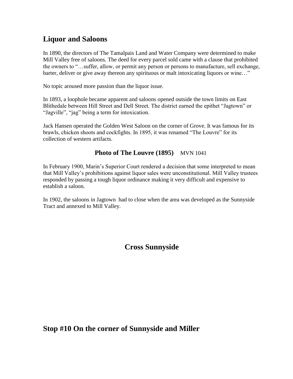## **Liquor and Saloons**

In 1890, the directors of The Tamalpais Land and Water Company were determined to make Mill Valley free of saloons. The deed for every parcel sold came with a clause that prohibited the owners to "…suffer, allow, or permit any person or persons to manufacture, sell exchange, barter, deliver or give away thereon any spirituous or malt intoxicating liquors or wine…"

No topic aroused more passion than the liquor issue.

In 1893, a loophole became apparent and saloons opened outside the town limits on East Blithedale between Hill Street and Dell Street. The district earned the epithet "Jagtown" or "Jagville", "jag" being a term for intoxication.

Jack Hansen operated the Golden West Saloon on the corner of Grove. It was famous for its brawls, chicken shoots and cockfights. In 1895, it was renamed "The Louvre" for its collection of western artifacts.

### **Photo of The Louvre (1895) MVN 1041**

In February 1900, Marin's Superior Court rendered a decision that some interpreted to mean that Mill Valley's prohibitions against liquor sales were unconstitutional. Mill Valley trustees responded by passing a tough liquor ordinance making it very difficult and expensive to establish a saloon.

In 1902, the saloons in Jagtown had to close when the area was developed as the Sunnyside Tract and annexed to Mill Valley.

## **Cross Sunnyside**

### **Stop #10 On the corner of Sunnyside and Miller**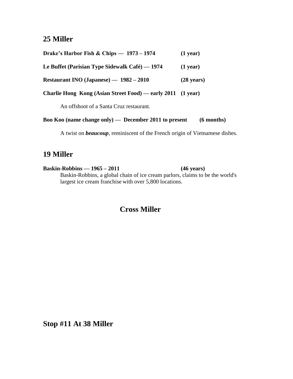### **25 Miller**

| Drake's Harbor Fish & Chips — $1973 - 1974$                 | $(1$ year)           |
|-------------------------------------------------------------|----------------------|
| Le Buffet (Parisian Type Sidewalk Café) $-1974$             | $(1$ year)           |
| Restaurant INO (Japanese) — 1982 - 2010                     | $(28 \text{ years})$ |
| Charlie Hong Kong (Asian Street Food) — early 2011 (1 year) |                      |

An offshoot of a Santa Cruz restaurant.

|  |  |  |  | Boo Koo (name change only) — December 2011 to present |  | $(6$ months) |
|--|--|--|--|-------------------------------------------------------|--|--------------|
|--|--|--|--|-------------------------------------------------------|--|--------------|

A twist on *beaucoup*, reminiscent of the French origin of Vietnamese dishes.

### **19 Miller**

**Baskin-Robbins — 1965 – 2011 (46 years)** Baskin-Robbins, a global chain of [ice cream parlors,](http://en.wikipedia.org/wiki/Ice_cream_parlors) claims to be the world's largest ice cream franchise with over 5,800 locations.

### **Cross Miller**

**Stop #11 At 38 Miller**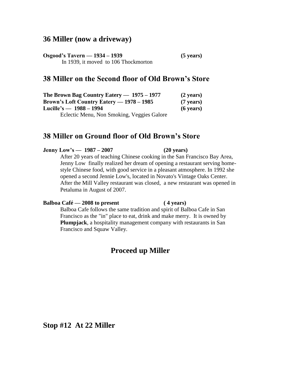### **36 Miller (now a driveway)**

**Osgood's Tavern — 1934 – 1939 (5 years)** In 1939, it moved to 106 Thockmorton

### **38 Miller on the Second floor of Old Brown's Store**

| The Brown Bag Country Eatery $- 1975 - 1977$     | $(2 \text{ years})$ |
|--------------------------------------------------|---------------------|
| <b>Brown's Loft Country Eatery — 1978 – 1985</b> | $(7 \text{ years})$ |
| Lucille's — $1988 - 1994$                        | $(6 \text{ years})$ |
| Eclectic Menu, Non Smoking, Veggies Galore       |                     |

### **38 Miller on Ground floor of Old Brown's Store**

#### **Jenny Low's — 1987 – 2007 (20 years)**

After 20 years of teaching Chinese cooking in the San Francisco Bay Area, Jenny Low finally realized her dream of opening a restaurant serving homestyle Chinese food, with good service in a pleasant atmosphere. In 1992 she opened a second Jennie Low's, located in Novato's Vintage Oaks Center. After the Mill Valley restaurant was closed, a new restaurant was opened in Petaluma in August of 2007.

#### **Balboa Café — 2008 to present ( 4 years)**

Balboa Cafe follows the same tradition and spirit of Balboa Cafe in San Francisco as the "in" place to eat, drink and make merry. It is owned by **Plumpjack**, a hospitality management company with restaurants in San Francisco and Squaw Valley.

### **Proceed up Miller**

**Stop #12 At 22 Miller**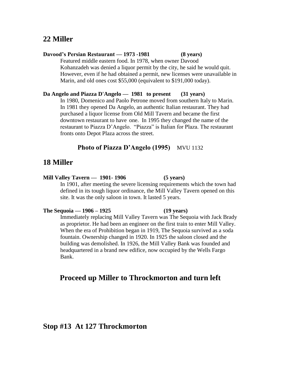### **22 Miller**

#### **Davood's Persian Restaurant — 1973 -1981 (8 years)** Featured middle eastern food. In 1978, when owner Davood Kohanzadeh was denied a liquor permit by the city, he said he would quit. However, even if he had obtained a permit, new licenses were unavailable in

**Da Angelo and Piazza D'Angelo — 1981 to present (31 years)** In 1980, Domenico and Paolo Petrone moved from southern Italy to Marin. In 1981 they opened Da Angelo, an authentic Italian restaurant. They had

Marin, and old ones cost \$55,000 (equivalent to \$191,000 today).

purchased a liquor license from Old Mill Tavern and became the first downtown restaurant to have one. In 1995 they changed the name of the restaurant to Piazza D'Angelo. "Piazza" is Italian for Plaza. The restaurant fronts onto Depot Plaza across the street.

### **Photo of Piazza D'Angelo (1995)** MVU 1132

### **18 Miller**

#### **Mill Valley Tavern — 1901- 1906 (5 years)**

In 1901, after meeting the severe licensing requirements which the town had defined in its tough liquor ordinance, the Mill Valley Tavern opened on this site. It was the only saloon in town. It lasted 5 years.

#### **The Sequoia — 1906 – 1925 (19 years)**

Immediately replacing Mill Valley Tavern was The Sequoia with Jack Brady as proprietor. He had been an engineer on the first train to enter Mill Valley. When the era of Prohibition began in 1919, The Sequoia survived as a soda fountain. Ownership changed in 1920. In 1925 the saloon closed and the building was demolished. In 1926, the Mill Valley Bank was founded and headquartered in a brand new edifice, now occupied by the Wells Fargo Bank.

### **Proceed up Miller to Throckmorton and turn left**

### **Stop #13 At 127 Throckmorton**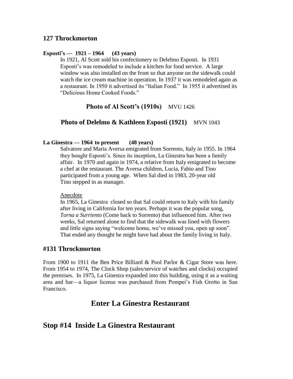#### **Esposti's — 1921 – 1964 (43 years)**

In 1921, Al Scott sold his confectionery to Delelmo Esposti. In 1931 Esposti's was remodeled to include a kitchen for food service. A large window was also installed on the front so that anyone on the sidewalk could watch the ice cream machine in operation. In 1937 it was remodeled again as a restaurant. In 1950 it advertised its "Italian Food." In 1955 it advertised its "Delicious Home Cooked Foods."

#### **Photo of Al Scott's (1910s) MVU 1426**

#### **Photo of Delelmo & Kathleen Esposti (1921)** MVN 1043

#### **La Ginestra — 1964 to present (48 years)**

Salvatore and Maria Aversa emigrated from Sorrento, Italy in 1955. In 1964 they bought Esposti's. Since its inception, La Ginestra has been a family affair. In 1970 and again in 1974, a relative from Italy emigrated to become a chef at the restaurant. The Aversa children, Lucia, Fabio and Tino participated from a young age. When Sal died in 1983, 20-year old Tino stepped in as manager.

#### Anecdote

In 1965, La Ginestra closed so that Sal could return to Italy with his family after living in California for ten years. Perhaps it was the popular song, *Torna a Surriento* (Come back to Sorrento) that influenced him. After two weeks, Sal returned alone to find that the sidewalk was lined with flowers and little signs saying "welcome home, we've missed you, open up soon". That ended any thought he might have had about the family living in Italy.

#### **#131 Throckmorton**

From 1900 to 1911 the Ben Price Billiard & Pool Parlor & Cigar Store was here. From 1954 to 1974, The Clock Shop (sales/service of watches and clocks) occupied the premises. In 1975, La Ginestra expanded into this building, using it as a waiting area and bar—a liquor license was purchased from Pompei's Fish Grotto in San Francisco.

### **Enter La Ginestra Restaurant**

### **Stop #14 Inside La Ginestra Restaurant**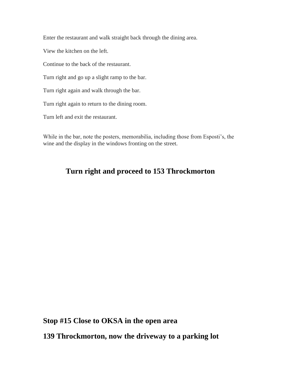Enter the restaurant and walk straight back through the dining area.

View the kitchen on the left.

Continue to the back of the restaurant.

Turn right and go up a slight ramp to the bar.

Turn right again and walk through the bar.

Turn right again to return to the dining room.

Turn left and exit the restaurant.

While in the bar, note the posters, memorabilia, including those from Esposti's, the wine and the display in the windows fronting on the street.

### **Turn right and proceed to 153 Throckmorton**

**Stop #15 Close to OKSA in the open area**

**139 Throckmorton, now the driveway to a parking lot**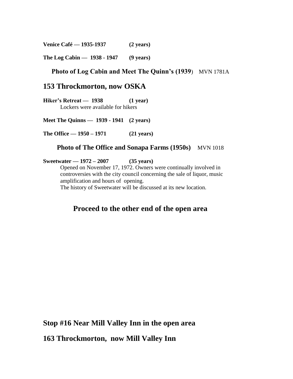**Venice Café — 1935-1937 (2 years)**

**The Log Cabin — 1938 - 1947 (9 years)**

### **Photo of Log Cabin and Meet The Quinn's (1939**) MVN 1781A

### **153 Throckmorton, now OSKA**

**Hiker's Retreat — 1938 (1 year)** Lockers were available for hikers

**Meet The Quinns — 1939 - 1941 (2 years)**

**The Office — 1950 – 1971 (21 years)**

#### **Photo of The Office and Sonapa Farms (1950s)** MVN 1018

**Sweetwater — 1972 – 2007 (35 years)**

Opened on November 17, 1972. Owners were continually involved in controversies with the city council concerning the sale of liquor, music amplification and hours of opening.

The history of Sweetwater will be discussed at its new location.

### **Proceed to the other end of the open area**

**Stop #16 Near Mill Valley Inn in the open area**

**163 Throckmorton, now Mill Valley Inn**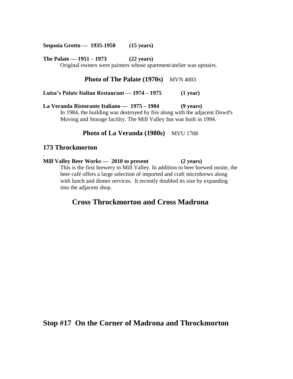**Sequoia Grotto — 1935-1950 (15 years)**

**The Palate — 1951 – 1973 (22 years)**

Original owners were painters whose apartment/atelier was upstairs.

#### **Photo of The Palate (1970s) MVN 4003**

**Luisa's Palate Italian Restaurant — 1974 – 1975 (1 year)**

**La Veranda Ristorante Italiano — 1975 – 1984 (9 years)** In 1984, the building was destroyed by fire along with the adjacent Dowd's Moving and Storage facility. The Mill Valley Inn was built in 1994.

#### **Photo of La Veranda (1980s) MVU 1768**

#### **173 Throckmorton**

.

**Mill Valley Beer Works — 2010 to present (2 years)** This is the first brewery in Mill Valley. In addition to beer brewed onsite, the beer café offers a large selection of imported and craft microbrews along with lunch and dinner services. It recently doubled its size by expanding into the adjacent shop.

### **Cross Throckmorton and Cross Madrona**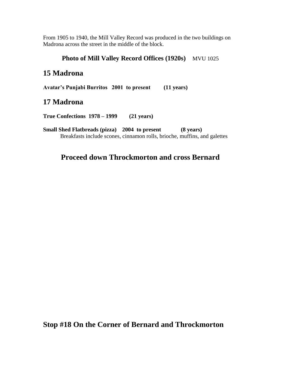From 1905 to 1940, the Mill Valley Record was produced in the two buildings on Madrona across the street in the middle of the block.

### **Photo of Mill Valley Record Offices (1920s)** MVU 1025

### **15 Madrona**

**Avatar's Punjabi Burritos 2001 to present (11 years)**

### **17 Madrona**

**True Confections 1978 – 1999 (21 years)**

**Small Shed Flatbreads (pizza) 2004 to present (8 years)** Breakfasts include scones, cinnamon rolls, brioche, muffins, and galettes

### **Proceed down Throckmorton and cross Bernard**

**Stop #18 On the Corner of Bernard and Throckmorton**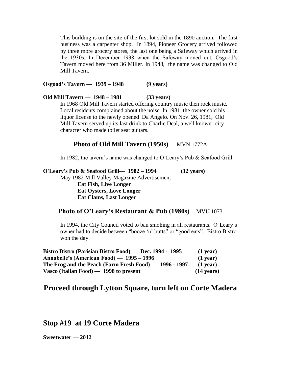This building is on the site of the first lot sold in the 1890 auction. The first business was a carpenter shop. In 1894, Pioneer Grocery arrived followed by three more grocery stores, the last one being a Safeway which arrived in the 1930s. In December 1938 when the Safeway moved out, Osgood's Tavern moved here from 36 Miller. In 1948, the name was changed to Old Mill Tavern.

**Osgood's Tavern — 1939 – 1948 (9 years)**

**Old Mill Tavern — 1948 – 1981 (33 years)**

In 1968 Old Mill Tavern started offering country music then rock music. Local residents complained about the noise. In 1981, the owner sold his liquor license to the newly opened Da Angelo. On Nov. 26, 1981, Old Mill Tavern served up its last drink to Charlie Deal, a well known city character who made toilet seat guitars.

### **Photo of Old Mill Tavern (1950s)** MVN 1772A

In 1982, the tavern's name was changed to O'Leary's Pub & Seafood Grill.

#### **O'Leary's Pub & Seafood Grill— 1982 – 1994 (12 years)**

May 1982 Mill Valley Magazine Advertisement **Eat Fish, Live Longer Eat Oysters, Love Longer Eat Clams, Last Longer** 

### Photo of O'Leary's Restaurant & Pub (1980s) MVU 1073

In 1994, the City Council voted to ban smoking in all restaurants. O'Leary's owner had to decide between "booze 'n' butts" or "good eats". Bistro Bistro won the day.

| Bistro Bistro (Parisian Bistro Food) — Dec. 1994 - 1995 | $(1$ year)           |
|---------------------------------------------------------|----------------------|
| Annabelle's (American Food) — 1995 – 1996               | $(1$ year)           |
| The Frog and the Peach (Farm Fresh Food) $-1996 - 1997$ | $(1$ year)           |
| Vasco (Italian Food) $-$ 1998 to present                | $(14 \text{ years})$ |

### **Proceed through Lytton Square, turn left on Corte Madera**

### **Stop #19 at 19 Corte Madera**

**Sweetwater — 2012**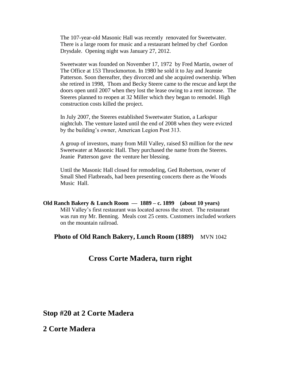The 107-year-old Masonic Hall was recently renovated for Sweetwater. There is a large room for music and a restaurant helmed by chef Gordon Drysdale. Opening night was January 27, 2012.

Sweetwater was founded on November 17, 1972 by Fred Martin, owner of The Office at 153 Throckmorton. In 1980 he sold it to Jay and Jeannie Patterson. Soon thereafter, they divorced and she acquired ownership. When she retired in 1998, Thom and Becky Steere came to the rescue and kept the doors open until 2007 when they lost the lease owing to a rent increase. The Steeres planned to reopen at 32 Miller which they began to remodel. High construction costs killed the project.

In July 2007, the Steeres established Sweetwater Station, a Larkspur nightclub. The venture lasted until the end of 2008 when they were evicted by the building's owner, American Legion Post 313.

A group of investors, many from Mill Valley, raised \$3 million for the new Sweetwater at Masonic Hall. They purchased the name from the Steeres. Jeanie Patterson gave the venture her blessing.

Until the Masonic Hall closed for remodeling, Ged Robertson, owner of Small Shed Flatbreads, had been presenting concerts there as the Woods Music Hall.

**Old Ranch Bakery & Lunch Room — 1889 – c. 1899 (about 10 years)** Mill Valley's first restaurant was located across the street. The restaurant was run my Mr. Benning. Meals cost 25 cents. Customers included workers on the mountain railroad.

**Photo of Old Ranch Bakery, Lunch Room (1889)** MVN 1042

### **Cross Corte Madera, turn right**

### **Stop #20 at 2 Corte Madera**

### **2 Corte Madera**